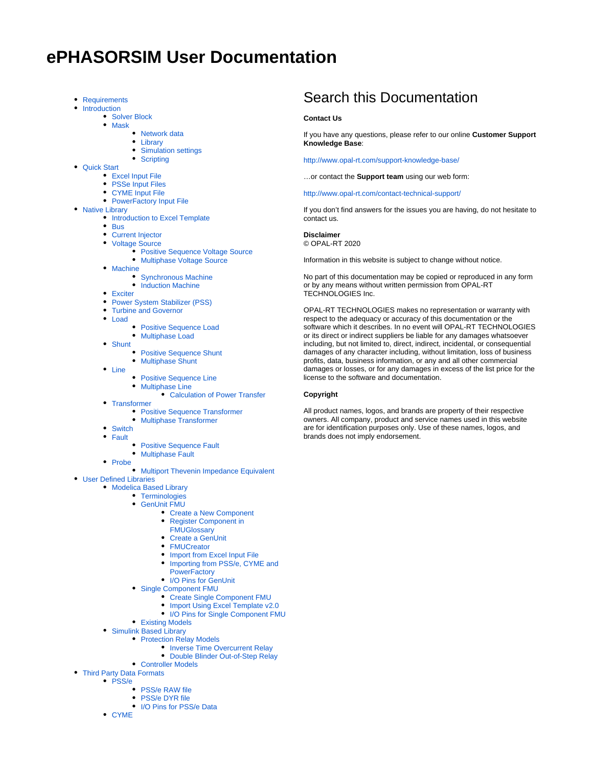# **ePHASORSIM User Documentation**

- [Requirements](https://wiki.opal-rt.com/display/EUD/Requirements)
- [Introduction](https://wiki.opal-rt.com/display/EUD/Introduction)
	- [Solver Block](https://wiki.opal-rt.com/display/EUD/Solver+Block)
	- [Mask](https://wiki.opal-rt.com/display/EUD/Mask)
		- [Network data](https://wiki.opal-rt.com/display/EUD/Network+data)
			- [Library](https://wiki.opal-rt.com/display/EUD/Library)
		- $\bullet$ [Simulation settings](https://wiki.opal-rt.com/display/EUD/Simulation+settings)
		- [Scripting](https://wiki.opal-rt.com/display/EUD/Scripting)
- [Quick Start](https://wiki.opal-rt.com/display/EUD/Quick+Start)
	- [Excel Input File](https://wiki.opal-rt.com/display/EUD/Excel+Input+File)
	- [PSSe Input Files](https://wiki.opal-rt.com/display/EUD/PSSe+Input+Files)
	- [CYME Input File](https://wiki.opal-rt.com/display/EUD/CYME+Input+File)
	- [PowerFactory Input File](https://wiki.opal-rt.com/display/EUD/PowerFactory+Input+File)
- [Native Library](https://wiki.opal-rt.com/display/EUD/Native+Library)
	- [Introduction to Excel Template](https://wiki.opal-rt.com/display/EUD/Introduction+to+Excel+Template)
		- $\bullet$  [Bus](https://wiki.opal-rt.com/display/EUD/Bus)
		- [Current Injector](https://wiki.opal-rt.com/display/EUD/Current+Injector)  $\bullet$
		- $\bullet$ [Voltage Source](https://wiki.opal-rt.com/display/EUD/Voltage+Source)
			- [Positive Sequence Voltage Source](https://wiki.opal-rt.com/display/EUD/Positive+Sequence+Voltage+Source)
			- [Multiphase Voltage Source](https://wiki.opal-rt.com/display/EUD/Multiphase+Voltage+Source)
		- [Machine](https://wiki.opal-rt.com/display/EUD/Machine)
			- [Synchronous Machine](https://wiki.opal-rt.com/display/EUD/Synchronous+Machine)
		- [Induction Machine](https://wiki.opal-rt.com/display/EUD/Induction+Machine)
		- [Exciter](https://wiki.opal-rt.com/display/EUD/Exciter)
		- $\bullet$ [Power System Stabilizer \(PSS\)](https://wiki.opal-rt.com/pages/viewpage.action?pageId=44990604)
		- [Turbine and Governor](https://wiki.opal-rt.com/display/EUD/Turbine+and+Governor)
		- [Load](https://wiki.opal-rt.com/display/EUD/Load)
			- $\bullet$ [Positive Sequence Load](https://wiki.opal-rt.com/display/EUD/Positive+Sequence+Load)
			- [Multiphase Load](https://wiki.opal-rt.com/display/EUD/Multiphase+Load)
		- [Shunt](https://wiki.opal-rt.com/display/EUD/Shunt)
			- [Positive Sequence Shunt](https://wiki.opal-rt.com/display/EUD/Positive+Sequence+Shunt)
			- [Multiphase Shunt](https://wiki.opal-rt.com/display/EUD/Multiphase+Shunt)
		- [Line](https://wiki.opal-rt.com/display/EUD/Line)
			- [Positive Sequence Line](https://wiki.opal-rt.com/display/EUD/Positive+Sequence+Line)
			- [Multiphase Line](https://wiki.opal-rt.com/display/EUD/Multiphase+Line)
				- [Calculation of Power Transfer](https://wiki.opal-rt.com/display/EUD/Calculation+of+Power+Transfer)
		- [Transformer](https://wiki.opal-rt.com/display/EUD/Transformer)
			- [Positive Sequence Transformer](https://wiki.opal-rt.com/display/EUD/Positive+Sequence+Transformer)
			- [Multiphase Transformer](https://wiki.opal-rt.com/display/EUD/Multiphase+Transformer)
		- [Switch](https://wiki.opal-rt.com/display/EUD/Switch)
		- [Fault](https://wiki.opal-rt.com/display/EUD/Fault)
			- **[Positive Sequence Fault](https://wiki.opal-rt.com/display/EUD/Positive+Sequence+Fault)**
			- [Multiphase Fault](https://wiki.opal-rt.com/display/EUD/Multiphase+Fault)
		- [Probe](https://wiki.opal-rt.com/display/EUD/Probe)
			- **[Multiport Thevenin Impedance Equivalent](https://wiki.opal-rt.com/display/EUD/Multiport+Thevenin+Impedance+Equivalent)**
- [User Defined Libraries](https://wiki.opal-rt.com/display/EUD/User+Defined+Libraries)
	- [Modelica Based Library](https://wiki.opal-rt.com/display/EUD/Modelica+Based+Library)
		- [Terminologies](https://wiki.opal-rt.com/display/EUD/Terminologies)
		- [GenUnit FMU](https://wiki.opal-rt.com/display/EUD/GenUnit+FMU)
			- [Create a New Component](https://wiki.opal-rt.com/display/EUD/Create+a+New+Component)
			- [Register Component in](https://wiki.opal-rt.com/display/EUD/Register+Component+in+FMUGlossary)
			- **[FMUGlossary](https://wiki.opal-rt.com/display/EUD/Register+Component+in+FMUGlossary)**
			- [Create a GenUnit](https://wiki.opal-rt.com/display/EUD/Create+a+GenUnit)
			- [FMUCreator](https://wiki.opal-rt.com/display/EUD/FMUCreator)
			- [Import from Excel Input File](https://wiki.opal-rt.com/display/EUD/Import+from+Excel+Input+File)
			- Importing from PSS/e, CYME and **[PowerFactory](https://wiki.opal-rt.com/pages/viewpage.action?pageId=21201058)**
			- [I/O Pins for GenUnit](https://wiki.opal-rt.com/pages/viewpage.action?pageId=44990850)
		- [Single Component FMU](https://wiki.opal-rt.com/display/EUD/Single+Component+FMU)
			- [Create Single Component FMU](https://wiki.opal-rt.com/display/EUD/Create+Single+Component+FMU)
			- [Import Using Excel Template v2.0](https://wiki.opal-rt.com/display/EUD/Import+Using+Excel+Template+v2.0)
				- [I/O Pins for Single Component FMU](https://wiki.opal-rt.com/pages/viewpage.action?pageId=44990785)
		- [Existing Models](https://wiki.opal-rt.com/display/EUD/Existing+Models)
	- [Simulink Based Library](https://wiki.opal-rt.com/display/EUD/Simulink+Based+Library)
		- [Protection Relay Models](https://wiki.opal-rt.com/display/EUD/Protection+Relay+Models)
			- **[Inverse Time Overcurrent Relay](https://wiki.opal-rt.com/display/EUD/Inverse+Time+Overcurrent+Relay)**
			- [Double Blinder Out-of-Step Relay](https://wiki.opal-rt.com/display/EUD/Double+Blinder+Out-of-Step+Relay)
		- [Controller Models](https://wiki.opal-rt.com/display/EUD/Controller+Models)
- [Third Party Data Formats](https://wiki.opal-rt.com/display/EUD/Third+Party+Data+Formats)
	- [PSS/e](https://wiki.opal-rt.com/pages/viewpage.action?pageId=21201007)
		- [PSS/e RAW file](https://wiki.opal-rt.com/pages/viewpage.action?pageId=21201008)
		- [PSS/e DYR file](https://wiki.opal-rt.com/pages/viewpage.action?pageId=21201009)
		- [I/O Pins for PSS/e Data](https://wiki.opal-rt.com/pages/viewpage.action?pageId=21201010)
		- [CYME](https://wiki.opal-rt.com/display/EUD/CYME)

# Search this Documentation

## **Contact Us**

If you have any questions, please refer to our online **Customer Support Knowledge Base**:

<http://www.opal-rt.com/support-knowledge-base/>

…or contact the **Support team** using our web form:

<http://www.opal-rt.com/contact-technical-support/>

If you don't find answers for the issues you are having, do not hesitate to contact us.

### **Disclaimer**

© OPAL-RT 2020

Information in this website is subject to change without notice.

No part of this documentation may be copied or reproduced in any form or by any means without written permission from OPAL-RT TECHNOLOGIES Inc.

OPAL-RT TECHNOLOGIES makes no representation or warranty with respect to the adequacy or accuracy of this documentation or the software which it describes. In no event will OPAL-RT TECHNOLOGIES or its direct or indirect suppliers be liable for any damages whatsoever including, but not limited to, direct, indirect, incidental, or consequential damages of any character including, without limitation, loss of business profits, data, business information, or any and all other commercial damages or losses, or for any damages in excess of the list price for the license to the software and documentation.

#### **Copyright**

All product names, logos, and brands are property of their respective owners. All company, product and service names used in this website are for identification purposes only. Use of these names, logos, and brands does not imply endorsement.